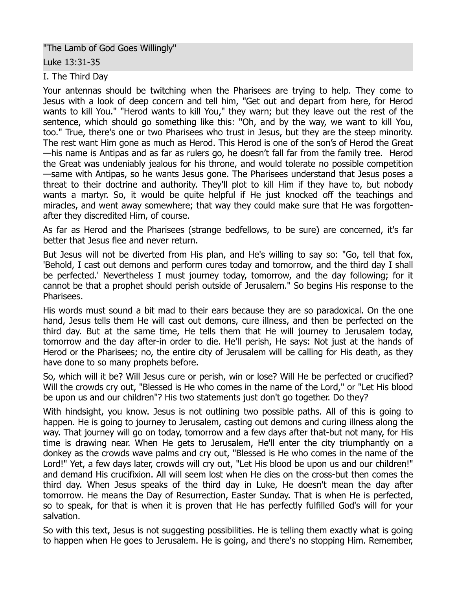"The Lamb of God Goes Willingly"

Luke 13:31-35

I. The Third Day

Your antennas should be twitching when the Pharisees are trying to help. They come to Jesus with a look of deep concern and tell him, "Get out and depart from here, for Herod wants to kill You." "Herod wants to kill You," they warn; but they leave out the rest of the sentence, which should go something like this: "Oh, and by the way, we want to kill You, too." True, there's one or two Pharisees who trust in Jesus, but they are the steep minority. The rest want Him gone as much as Herod. This Herod is one of the son's of Herod the Great —his name is Antipas and as far as rulers go, he doesn't fall far from the family tree. Herod the Great was undeniably jealous for his throne, and would tolerate no possible competition —same with Antipas, so he wants Jesus gone. The Pharisees understand that Jesus poses a threat to their doctrine and authority. They'll plot to kill Him if they have to, but nobody wants a martyr. So, it would be quite helpful if He just knocked off the teachings and miracles, and went away somewhere; that way they could make sure that He was forgottenafter they discredited Him, of course.

As far as Herod and the Pharisees (strange bedfellows, to be sure) are concerned, it's far better that Jesus flee and never return.

But Jesus will not be diverted from His plan, and He's willing to say so: "Go, tell that fox, 'Behold, I cast out demons and perform cures today and tomorrow, and the third day I shall be perfected.' Nevertheless I must journey today, tomorrow, and the day following; for it cannot be that a prophet should perish outside of Jerusalem." So begins His response to the Pharisees.

His words must sound a bit mad to their ears because they are so paradoxical. On the one hand, Jesus tells them He will cast out demons, cure illness, and then be perfected on the third day. But at the same time, He tells them that He will journey to Jerusalem today, tomorrow and the day after-in order to die. He'll perish, He says: Not just at the hands of Herod or the Pharisees; no, the entire city of Jerusalem will be calling for His death, as they have done to so many prophets before.

So, which will it be? Will Jesus cure or perish, win or lose? Will He be perfected or crucified? Will the crowds cry out, "Blessed is He who comes in the name of the Lord," or "Let His blood be upon us and our children"? His two statements just don't go together. Do they?

With hindsight, you know. Jesus is not outlining two possible paths. All of this is going to happen. He is going to journey to Jerusalem, casting out demons and curing illness along the way. That journey will go on today, tomorrow and a few days after that-but not many, for His time is drawing near. When He gets to Jerusalem, He'll enter the city triumphantly on a donkey as the crowds wave palms and cry out, "Blessed is He who comes in the name of the Lord!" Yet, a few days later, crowds will cry out, "Let His blood be upon us and our children!" and demand His crucifixion. All will seem lost when He dies on the cross-but then comes the third day. When Jesus speaks of the third day in Luke, He doesn't mean the day after tomorrow. He means the Day of Resurrection, Easter Sunday. That is when He is perfected, so to speak, for that is when it is proven that He has perfectly fulfilled God's will for your salvation.

So with this text, Jesus is not suggesting possibilities. He is telling them exactly what is going to happen when He goes to Jerusalem. He is going, and there's no stopping Him. Remember,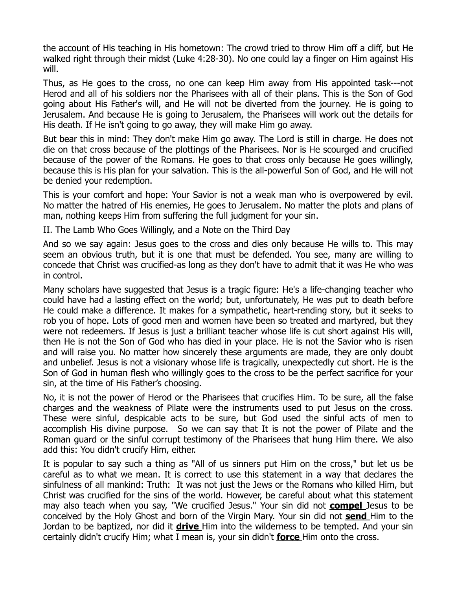the account of His teaching in His hometown: The crowd tried to throw Him off a cliff, but He walked right through their midst (Luke 4:28-30). No one could lay a finger on Him against His will.

Thus, as He goes to the cross, no one can keep Him away from His appointed task---not Herod and all of his soldiers nor the Pharisees with all of their plans. This is the Son of God going about His Father's will, and He will not be diverted from the journey. He is going to Jerusalem. And because He is going to Jerusalem, the Pharisees will work out the details for His death. If He isn't going to go away, they will make Him go away.

But bear this in mind: They don't make Him go away. The Lord is still in charge. He does not die on that cross because of the plottings of the Pharisees. Nor is He scourged and crucified because of the power of the Romans. He goes to that cross only because He goes willingly, because this is His plan for your salvation. This is the all-powerful Son of God, and He will not be denied your redemption.

This is your comfort and hope: Your Savior is not a weak man who is overpowered by evil. No matter the hatred of His enemies, He goes to Jerusalem. No matter the plots and plans of man, nothing keeps Him from suffering the full judgment for your sin.

II. The Lamb Who Goes Willingly, and a Note on the Third Day

And so we say again: Jesus goes to the cross and dies only because He wills to. This may seem an obvious truth, but it is one that must be defended. You see, many are willing to concede that Christ was crucified-as long as they don't have to admit that it was He who was in control.

Many scholars have suggested that Jesus is a tragic figure: He's a life-changing teacher who could have had a lasting effect on the world; but, unfortunately, He was put to death before He could make a difference. It makes for a sympathetic, heart-rending story, but it seeks to rob you of hope. Lots of good men and women have been so treated and martyred, but they were not redeemers. If Jesus is just a brilliant teacher whose life is cut short against His will, then He is not the Son of God who has died in your place. He is not the Savior who is risen and will raise you. No matter how sincerely these arguments are made, they are only doubt and unbelief. Jesus is not a visionary whose life is tragically, unexpectedly cut short. He is the Son of God in human flesh who willingly goes to the cross to be the perfect sacrifice for your sin, at the time of His Father's choosing.

No, it is not the power of Herod or the Pharisees that crucifies Him. To be sure, all the false charges and the weakness of Pilate were the instruments used to put Jesus on the cross. These were sinful, despicable acts to be sure, but God used the sinful acts of men to accomplish His divine purpose. So we can say that It is not the power of Pilate and the Roman guard or the sinful corrupt testimony of the Pharisees that hung Him there. We also add this: You didn't crucify Him, either.

It is popular to say such a thing as "All of us sinners put Him on the cross," but let us be careful as to what we mean. It is correct to use this statement in a way that declares the sinfulness of all mankind: Truth: It was not just the Jews or the Romans who killed Him, but Christ was crucified for the sins of the world. However, be careful about what this statement may also teach when you say, "We crucified Jesus." Your sin did not **compel** Jesus to be conceived by the Holy Ghost and born of the Virgin Mary. Your sin did not **send** Him to the Jordan to be baptized, nor did it **drive** Him into the wilderness to be tempted. And your sin certainly didn't crucify Him; what I mean is, your sin didn't **force** Him onto the cross.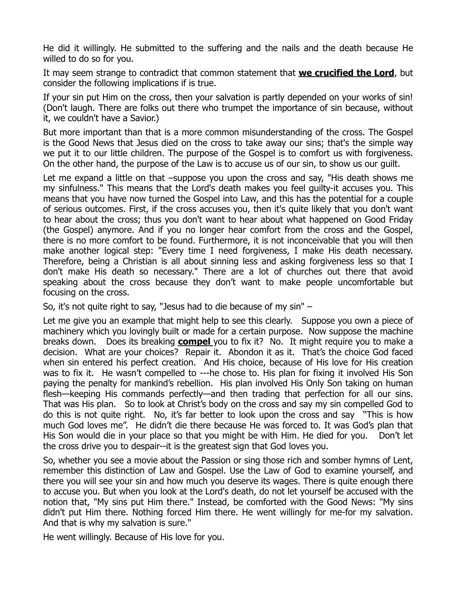He did it willingly. He submitted to the suffering and the nails and the death because He willed to do so for you.

It may seem strange to contradict that common statement that **we crucified the Lord**, but consider the following implications if is true.

If your sin put Him on the cross, then your salvation is partly depended on your works of sin! (Don't laugh. There are folks out there who trumpet the importance of sin because, without it, we couldn't have a Savior.)

But more important than that is a more common misunderstanding of the cross. The Gospel is the Good News that Jesus died on the cross to take away our sins; that's the simple way we put it to our little children. The purpose of the Gospel is to comfort us with forgiveness. On the other hand, the purpose of the Law is to accuse us of our sin, to show us our guilt.

Let me expand a little on that –suppose you upon the cross and say, "His death shows me my sinfulness." This means that the Lord's death makes you feel guilty-it accuses you. This means that you have now turned the Gospel into Law, and this has the potential for a couple of serious outcomes. First, if the cross accuses you, then it's quite likely that you don't want to hear about the cross; thus you don't want to hear about what happened on Good Friday (the Gospel) anymore. And if you no longer hear comfort from the cross and the Gospel, there is no more comfort to be found. Furthermore, it is not inconceivable that you will then make another logical step: "Every time I need forgiveness, I make His death necessary. Therefore, being a Christian is all about sinning less and asking forgiveness less so that I don't make His death so necessary." There are a lot of churches out there that avoid speaking about the cross because they don't want to make people uncomfortable but focusing on the cross.

So, it's not quite right to say, "Jesus had to die because of my sin" –

Let me give you an example that might help to see this clearly. Suppose you own a piece of machinery which you lovingly built or made for a certain purpose. Now suppose the machine breaks down. Does its breaking **compel** you to fix it? No. It might require you to make a decision. What are your choices? Repair it. Abondon it as it. That's the choice God faced when sin entered his perfect creation. And His choice, because of His love for His creation was to fix it. He wasn't compelled to ---he chose to. His plan for fixing it involved His Son paying the penalty for mankind's rebellion. His plan involved His Only Son taking on human flesh—keeping His commands perfectly—and then trading that perfection for all our sins. That was His plan. So to look at Christ's body on the cross and say my sin compelled God to do this is not quite right. No, it's far better to look upon the cross and say "This is how much God loves me". He didn't die there because He was forced to. It was God's plan that His Son would die in your place so that you might be with Him. He died for you. Don't let the cross drive you to despair--it is the greatest sign that God loves you.

So, whether you see a movie about the Passion or sing those rich and somber hymns of Lent, remember this distinction of Law and Gospel. Use the Law of God to examine yourself, and there you will see your sin and how much you deserve its wages. There is quite enough there to accuse you. But when you look at the Lord's death, do not let yourself be accused with the notion that, "My sins put Him there." Instead, be comforted with the Good News: "My sins didn't put Him there. Nothing forced Him there. He went willingly for me-for my salvation. And that is why my salvation is sure."

He went willingly. Because of His love for you.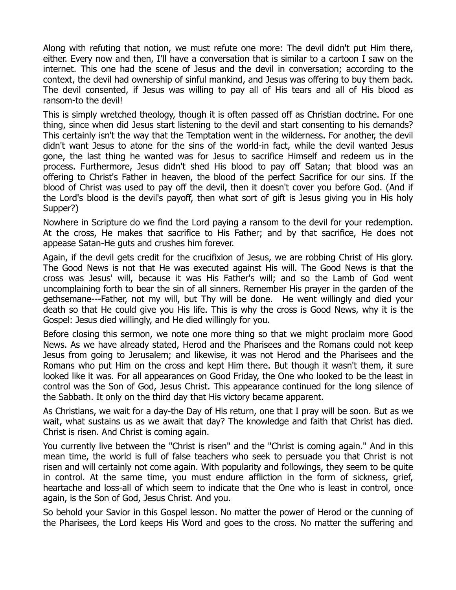Along with refuting that notion, we must refute one more: The devil didn't put Him there, either. Every now and then, I'll have a conversation that is similar to a cartoon I saw on the internet. This one had the scene of Jesus and the devil in conversation; according to the context, the devil had ownership of sinful mankind, and Jesus was offering to buy them back. The devil consented, if Jesus was willing to pay all of His tears and all of His blood as ransom-to the devil!

This is simply wretched theology, though it is often passed off as Christian doctrine. For one thing, since when did Jesus start listening to the devil and start consenting to his demands? This certainly isn't the way that the Temptation went in the wilderness. For another, the devil didn't want Jesus to atone for the sins of the world-in fact, while the devil wanted Jesus gone, the last thing he wanted was for Jesus to sacrifice Himself and redeem us in the process. Furthermore, Jesus didn't shed His blood to pay off Satan; that blood was an offering to Christ's Father in heaven, the blood of the perfect Sacrifice for our sins. If the blood of Christ was used to pay off the devil, then it doesn't cover you before God. (And if the Lord's blood is the devil's payoff, then what sort of gift is Jesus giving you in His holy Supper?)

Nowhere in Scripture do we find the Lord paying a ransom to the devil for your redemption. At the cross, He makes that sacrifice to His Father; and by that sacrifice, He does not appease Satan-He guts and crushes him forever.

Again, if the devil gets credit for the crucifixion of Jesus, we are robbing Christ of His glory. The Good News is not that He was executed against His will. The Good News is that the cross was Jesus' will, because it was His Father's will; and so the Lamb of God went uncomplaining forth to bear the sin of all sinners. Remember His prayer in the garden of the gethsemane---Father, not my will, but Thy will be done. He went willingly and died your death so that He could give you His life. This is why the cross is Good News, why it is the Gospel: Jesus died willingly, and He died willingly for you.

Before closing this sermon, we note one more thing so that we might proclaim more Good News. As we have already stated, Herod and the Pharisees and the Romans could not keep Jesus from going to Jerusalem; and likewise, it was not Herod and the Pharisees and the Romans who put Him on the cross and kept Him there. But though it wasn't them, it sure looked like it was. For all appearances on Good Friday, the One who looked to be the least in control was the Son of God, Jesus Christ. This appearance continued for the long silence of the Sabbath. It only on the third day that His victory became apparent.

As Christians, we wait for a day-the Day of His return, one that I pray will be soon. But as we wait, what sustains us as we await that day? The knowledge and faith that Christ has died. Christ is risen. And Christ is coming again.

You currently live between the "Christ is risen" and the "Christ is coming again." And in this mean time, the world is full of false teachers who seek to persuade you that Christ is not risen and will certainly not come again. With popularity and followings, they seem to be quite in control. At the same time, you must endure affliction in the form of sickness, grief, heartache and loss-all of which seem to indicate that the One who is least in control, once again, is the Son of God, Jesus Christ. And you.

So behold your Savior in this Gospel lesson. No matter the power of Herod or the cunning of the Pharisees, the Lord keeps His Word and goes to the cross. No matter the suffering and